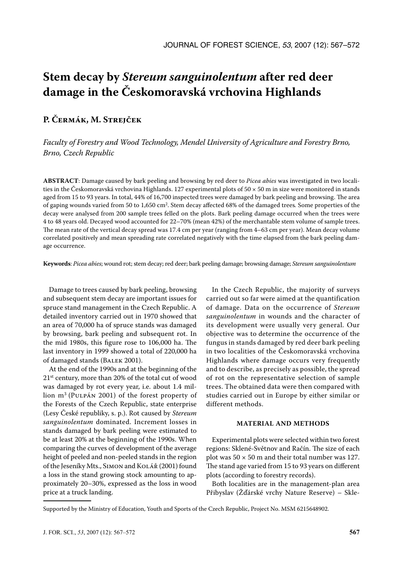# **Stem decay by** *Stereum sanguinolentum* **after red deer damage in the Českomoravská vrchovina Highlands**

## **P. Čermák, M. Strejček**

*Faculty of Forestry and Wood Technology, Mendel University of Agriculture and Forestry Brno, Brno, Czech Republic*

**ABSTRACT**: Damage caused by bark peeling and browsing by red deer to *Picea abies* was investigated in two localities in the Českomoravská vrchovina Highlands. 127 experimental plots of  $50 \times 50$  m in size were monitored in stands aged from 15 to 93 years. In total, 44% of 16,700 inspected trees were damaged by bark peeling and browsing. The area of gaping wounds varied from 50 to 1,650 cm<sup>2</sup> . Stem decay affected 68% of the damaged trees*.* Some properties of the decay were analysed from 200 sample trees felled on the plots. Bark peeling damage occurred when the trees were 4 to 48 years old. Decayed wood accounted for 22–70% (mean 42%) of the merchantable stem volume of sample trees. The mean rate of the vertical decay spread was 17.4 cm per year (ranging from 4–63 cm per year). Mean decay volume correlated positively and mean spreading rate correlated negatively with the time elapsed from the bark peeling damage occurrence.

**Keywords**: *Picea abies*; wound rot; stem decay; red deer; bark peeling damage; browsing damage; *Stereum sanguinolentum*

Damage to trees caused by bark peeling, browsing and subsequent stem decay are important issues for spruce stand management in the Czech Republic. A detailed inventory carried out in 1970 showed that an area of 70,000 ha of spruce stands was damaged by browsing, bark peeling and subsequent rot. In the mid 1980s, this figure rose to 106,000 ha. The last inventory in 1999 showed a total of 220,000 ha of damaged stands (Balek 2001).

At the end of the 1990s and at the beginning of the 21st century, more than 20% of the total cut of wood was damaged by rot every year, i.e. about 1.4 million m3 (Pulpán 2001) of the forest property of the Forests of the Czech Republic, state enterprise (Lesy České republiky, s. p.). Rot caused by *Stereum sanguinolentum* dominated. Increment losses in stands damaged by bark peeling were estimated to be at least 20% at the beginning of the 1990s. When comparing the curves of development of the average height of peeled and non-peeled stands in the region of the Jeseníky Mts., Simon and Kolář (2001) found a loss in the stand growing stock amounting to approximately 20–30%, expressed as the loss in wood price at a truck landing.

In the Czech Republic, the majority of surveys carried out so far were aimed at the quantification of damage. Data on the occurrence of *Stereum sanguinolentum* in wounds and the character of its development were usually very general. Our objective was to determine the occurrence of the fungus in stands damaged by red deer bark peeling in two localities of the Českomoravská vrchovina Highlands where damage occurs very frequently and to describe, as precisely as possible, the spread of rot on the representative selection of sample trees. The obtained data were then compared with studies carried out in Europe by either similar or different methods.

#### **MATERIAL AND METHODS**

Experimental plots were selected within two forest regions: Sklené-Světnov and Račín. The size of each plot was  $50 \times 50$  m and their total number was 127. The stand age varied from 15 to 93 years on different plots (according to forestry records).

Both localities are in the management-plan area Přibyslav (Žďárské vrchy Nature Reserve) – Skle-

Supported by the Ministry of Education, Youth and Sports of the Czech Republic, Project No. MSM 6215648902.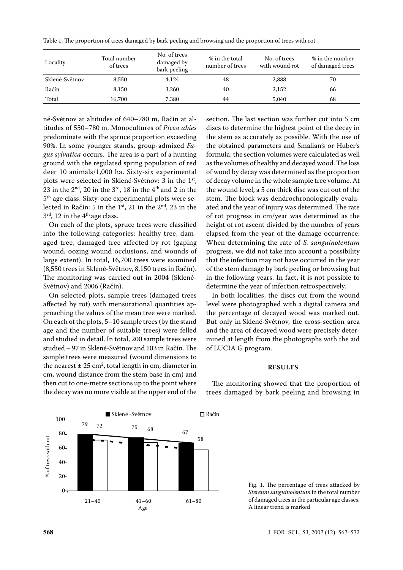Table 1. The proportion of trees damaged by bark peeling and browsing and the proportion of trees with rot

| Locality       | Total number<br>of trees | No. of trees<br>damaged by<br>bark peeling | % in the total<br>number of trees | No. of trees<br>with wound rot | % in the number<br>of damaged trees |
|----------------|--------------------------|--------------------------------------------|-----------------------------------|--------------------------------|-------------------------------------|
| Sklené-Světnov | 8,550                    | 4,124                                      | 48                                | 2,888                          | 70                                  |
| Račín          | 8.150                    | 3,260                                      | 40                                | 2,152                          | 66                                  |
| Total          | 16,700                   | 7,380                                      | 44                                | 5,040                          | 68                                  |

né-Světnov at altitudes of 640–780 m, Račín at altitudes of 550–780 m. Monocultures of *Picea abies* predominate with the spruce proportion exceeding 90%. In some younger stands, group-admixed *Fagus sylvatica* occurs. The area is a part of a hunting ground with the regulated spring population of red deer 10 animals/1,000 ha. Sixty-six experimental plots were selected in Sklené-Světnov: 3 in the 1<sup>st</sup>, 23 in the  $2<sup>nd</sup>$ , 20 in the  $3<sup>rd</sup>$ , 18 in the  $4<sup>th</sup>$  and 2 in the 5th age class. Sixty-one experimental plots were selected in Račín: 5 in the  $1<sup>st</sup>$ , 21 in the  $2<sup>nd</sup>$ , 23 in the  $3<sup>rd</sup>$ , 12 in the  $4<sup>th</sup>$  age class.

On each of the plots, spruce trees were classified into the following categories: healthy tree, damaged tree, damaged tree affected by rot (gaping wound, oozing wound occlusions, and wounds of large extent). In total, 16,700 trees were examined (8,550 trees in Sklené-Světnov, 8,150 trees in Račín). The monitoring was carried out in 2004 (Sklené-Světnov) and 2006 (Račín).

On selected plots, sample trees (damaged trees affected by rot) with mensurational quantities approaching the values of the mean tree were marked. On each of the plots, 5–10 sample trees (by the stand<br>250, and the number of suitable trees) were felled age and the number of suitable trees) were felled and studied in detail. In total, 200 sample trees were studied – 97 in Sklené-Světnov and 103 in Račín. The sample trees were measured (wound dimensions to the nearest  $\pm 25$  cm<sup>2</sup>, total length in cm, diameter in cm, wound distance from the stem base in cm) and then cut to one-metre sections up to the point where the decay was no more visible at the upper end of the  $\frac{1}{1}$ s<br>ie<br>ce<br>es

section. The last section was further cut into 5 cm discs to determine the highest point of the decay in the stem as accurately as possible. With the use of the obtained parameters and Smalian's or Huber's formula, the section volumes were calculated as well as the volumes of healthy and decayed wood. The loss of wood by decay was determined as the proportion of decay volume in the whole sample tree volume. At the wound level, a 5 cm thick disc was cut out of the stem. The block was dendrochronologically evaluated and the year of injury was determined. The rate of rot progress in cm/year was determined as the height of rot ascent divided by the number of years elapsed from the year of the damage occurrence. When determining the rate of *S. sanguinolentum* progress, we did not take into account a possibility that the infection may not have occurred in the year of the stem damage by bark peeling or browsing but in the following years. In fact, it is not possible to determine the year of infection retrospectively.

In both localities, the discs cut from the wound level were photographed with a digital camera and the percentage of decayed wood was marked out. But only in Sklené-Světnov, the cross-section area and the area of decayed wood were precisely deter-67 mined at length from the photographs with the aid 58 of LUCIA G program.

#### **RESULTS**

The monitoring showed that the proportion of trees damaged by bark peeling and browsing in 21–40 41–60 61–80



Fig. 1. The percentage of trees attacked by *Stereum sanguinolentum* in the total number of damaged trees in the particular age classes. A linear trend is marked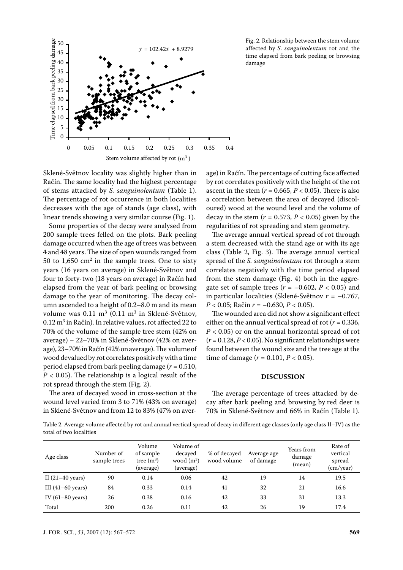

Fig. 2. Relationship between the stem volume affected by *S. sanguinolentum* rot and the time elapsed from bark peeling or browsing damage

Sklené-Světnov locality was slightly higher than in Račín. The same locality had the highest percentage of stems attacked by *S. sanguinolentum* (Table 1). The percentage of rot occurrence in both localities decreases with the age of stands (age class), with linear trends showing a very similar course (Fig. 1).

Some properties of the decay were analysed from 200 sample trees felled on the plots. Bark peeling damage occurred when the age of trees was between 4 and 48 years. The size of open wounds ranged from 50 to  $1,650$  cm<sup>2</sup> in the sample trees. One to sixty years (16 years on average) in Sklené-Světnov and four to forty-two (18 years on average) in Račín had elapsed from the year of bark peeling or browsing damage to the year of monitoring. The decay column ascended to a height of 0.2–8.0 m and its mean volume was  $0.11 \text{ m}^3$  (0.11 m<sup>3</sup> in Sklené-Světnov,  $0.12 \text{ m}^3$  in Račín). In relative values, rot affected 22 to 70% of the volume of the sample tree stem (42% on average) – 22–70% in Sklené-Světnov (42% on average), 23–70% in Račín (42% on average). The volume of wood devalued by rot correlates positively with a time period elapsed from bark peeling damage (*r* = 0.510, *P* < 0.05). The relationship is a logical result of the rot spread through the stem (Fig. 2).

The area of decayed wood in cross-section at the wound level varied from 3 to 71% (43% on average) in Sklené-Světnov and from 12 to 83% (47% on aver-

age) in Račín. The percentage of cutting face affected by rot correlates positively with the height of the rot ascent in the stem  $(r = 0.665, P < 0.05)$ . There is also a correlation between the area of decayed (discoloured) wood at the wound level and the volume of decay in the stem  $(r = 0.573, P < 0.05)$  given by the regularities of rot spreading and stem geometry.

The average annual vertical spread of rot through a stem decreased with the stand age or with its age class (Table 2, Fig. 3). The average annual vertical spread of the *S. sanguinolentum* rot through a stem correlates negatively with the time period elapsed from the stem damage (Fig. 4) both in the aggregate set of sample trees  $(r = -0.602, P < 0.05)$  and in particular localities (Sklené-Světnov *r* = –0.767, *P* < 0.05; Račín *r* = –0.630, *P* < 0.05).

The wounded area did not show a significant effect either on the annual vertical spread of rot ( $r = 0.336$ , *P* < 0.05) or on the annual horizontal spread of rot (*r* = 0.128, *P* < 0.05). No significant relationships were found between the wound size and the tree age at the time of damage ( $r = 0.101$ ,  $P < 0.05$ ).

### **DISCUSSION**

The average percentage of trees attacked by decay after bark peeling and browsing by red deer is 70% in Sklené-Světnov and 66% in Račín (Table 1).

Table 2. Average volume affected by rot and annual vertical spread of decay in different age classes (only age class II–IV) as the total of two localities

| Age class                   | Number of<br>sample trees | Volume<br>of sample<br>tree $(m^3)$<br>(average) | Volume of<br>decaved<br>wood $(m^3)$<br>(average) | % of decaved<br>wood volume | Average age<br>of damage | Years from<br>damage<br>(mean) | Rate of<br>vertical<br>spread<br>(cm/year) |
|-----------------------------|---------------------------|--------------------------------------------------|---------------------------------------------------|-----------------------------|--------------------------|--------------------------------|--------------------------------------------|
| II $(21-40 \text{ years})$  | 90                        | 0.14                                             | 0.06                                              | 42                          | 19                       | 14                             | 19.5                                       |
| III $(41-60 \text{ years})$ | 84                        | 0.33                                             | 0.14                                              | 41                          | 32                       | 21                             | 16.6                                       |
| IV $(61-80 \text{ years})$  | 26                        | 0.38                                             | 0.16                                              | 42                          | 33                       | 31                             | 13.3                                       |
| Total                       | 200                       | 0.26                                             | 0.11                                              | 42                          | 26                       | 19                             | 17.4                                       |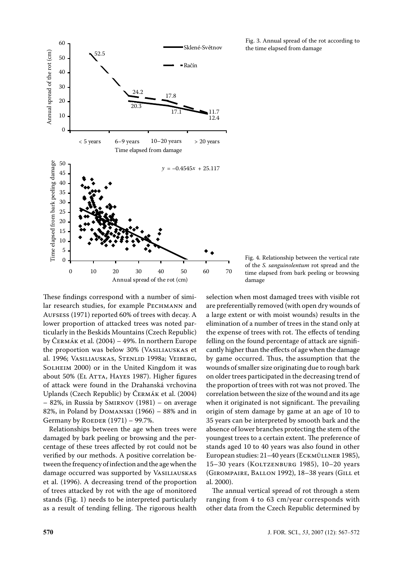

Fig. 3. Annual spread of the rot according to the time elapsed from damage

Fig. 4. Relationship between the vertical rate of the *S. sanguinolentum* rot spread and the time elapsed from bark peeling or browsing damage

These findings correspond with a number of similar research studies, for example Pechmann and Aufsess (1971) reported 60% of trees with decay. A lower proportion of attacked trees was noted particularly in the Beskids Mountains (Czech Republic) by Čermák et al. (2004) – 49%. In northern Europe the proportion was below 30% (Vasiliauskas et al. 1996; Vasiliauskas, Stenlid 1998a; Veiberg, SOLHEIM 2000) or in the United Kingdom it was about 50% (EL ATTA, HAYES 1987). Higher figures of attack were found in the Drahanská vrchovina Uplands (Czech Republic) by Čermák et al. (2004) – 82%, in Russia by Smirnov (1981) – on average 82%, in Poland by Domanski (1966) – 88% and in Germany by ROEDER  $(1971)$  – 99.7%.

Relationships between the age when trees were damaged by bark peeling or browsing and the percentage of these trees affected by rot could not be verified by our methods. A positive correlation between the frequency of infection and the age when the damage occurred was supported by VASILIAUSKAS et al. (1996). A decreasing trend of the proportion of trees attacked by rot with the age of monitored stands (Fig. 1) needs to be interpreted particularly as a result of tending felling. The rigorous health selection when most damaged trees with visible rot are preferentially removed (with open dry wounds of a large extent or with moist wounds) results in the elimination of a number of trees in the stand only at the expense of trees with rot. The effects of tending felling on the found percentage of attack are significantly higher than the effects of age when the damage by game occurred. Thus, the assumption that the wounds of smaller size originating due to rough bark on older trees participated in the decreasing trend of the proportion of trees with rot was not proved. The correlation between the size of the wound and its age when it originated is not significant. The prevailing origin of stem damage by game at an age of 10 to 35 years can be interpreted by smooth bark and the absence of lower branches protecting the stem of the youngest trees to a certain extent. The preference of stands aged 10 to 40 years was also found in other European studies: 21–40 years (Eckmüllner 1985), 15–30 years (Koltzenburg 1985), 10–20 years (Girompaire, Ballon 1992), 18–38 years (Gill et al. 2000).

The annual vertical spread of rot through a stem ranging from 4 to 63 cm/year corresponds with other data from the Czech Republic determined by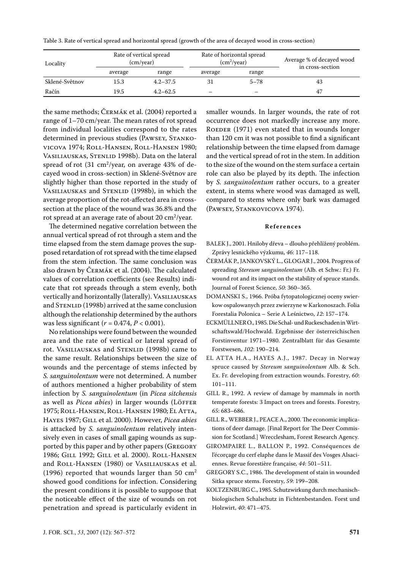Table 3. Rate of vertical spread and horizontal spread (growth of the area of decayed wood in cross-section)

| Locality       | Rate of vertical spread<br>(cm/year) |              | Rate of horizontal spread<br>(cm <sup>2</sup> /year) |          | Average % of decayed wood<br>in cross-section |
|----------------|--------------------------------------|--------------|------------------------------------------------------|----------|-----------------------------------------------|
|                | average                              | range        | average                                              | range    |                                               |
| Sklené-Světnov | 15.3                                 | $4.2 - 37.5$ | 31                                                   | $5 - 78$ | 43                                            |
| Račín          | 19.5                                 | $4.2 - 62.5$ | –                                                    |          | 47                                            |

the same methods; Čermák et al. (2004) reported a range of 1–70 cm/year. The mean rates of rot spread from individual localities correspond to the rates determined in previous studies (PAWSEY, STANKOvicova 1974; Roll-Hansen, Roll-Hansen 1980; VASILIAUSKAS, STENLID 1998b). Data on the lateral spread of rot (31 cm<sup>2</sup>/year, on average 43% of decayed wood in cross-section) in Sklené-Světnov are slightly higher than those reported in the study of VASILIAUSKAS and STENLID (1998b), in which the average proportion of the rot-affected area in crosssection at the place of the wound was 36.8% and the rot spread at an average rate of about  $20 \text{ cm}^2\text{/year.}$ 

The determined negative correlation between the annual vertical spread of rot through a stem and the time elapsed from the stem damage proves the supposed retardation of rot spread with the time elapsed from the stem infection. The same conclusion was also drawn by Čermák et al. (2004). The calculated values of correlation coefficients (see Results) indicate that rot spreads through a stem evenly, both vertically and horizontally (laterally). VASILIAUSKAS and STENLID (1998b) arrived at the same conclusion although the relationship determined by the authors was less significant (*r* = 0.474, *P* < 0.001).

No relationships were found between the wounded area and the rate of vertical or lateral spread of rot. VASILIAUSKAS and STENLID (1998b) came to the same result. Relationships between the size of wounds and the percentage of stems infected by *S. sanguinolentum* were not determined. A number of authors mentioned a higher probability of stem infection by *S. sanguinolentum* (in *Picea sitchensis* as well as *Picea abies*) in larger wounds (LÖFFER 1975; Roll-Hansen, Roll-Hansen 1980; El Atta, Hayes 1987; Gill et al. 2000). However, *Picea abies* is attacked by *S. sanguinolentum* relatively intensively even in cases of small gaping wounds as supported by this paper and by other papers (Gregory 1986; Gill 1992; Gill et al. 2000). Roll-Hansen and Roll-Hansen (1980) or Vasiliauskas et al. (1996) reported that wounds larger than 50  $\text{cm}^2$ showed good conditions for infection. Considering the present conditions it is possible to suppose that the noticeable effect of the size of wounds on rot penetration and spread is particularly evident in

smaller wounds. In larger wounds, the rate of rot occurrence does not markedly increase any more. ROEDER (1971) even stated that in wounds longer than 120 cm it was not possible to find a significant relationship between the time elapsed from damage and the vertical spread of rot in the stem. In addition to the size of the wound on the stem surface a certain role can also be played by its depth. The infection by *S. sanguinolentum* rather occurs, to a greater extent, in stems where wood was damaged as well, compared to stems where only bark was damaged (Pawsey, Stankovicova 1974).

#### **R e f e r e n c e s**

- BALEK J., 2001. Hniloby dřeva dlouho přehlížený problém. Zprávy lesnického výzkumu, *46*: 117–118.
- ČERMÁK P., JANKOVSKÝ L., GLOGAR J., 2004. Progress of spreading *Stereum sanguinolentum* (Alb. et Schw.: Fr.) Fr. wound rot and its impact on the stability of spruce stands. Journal of Forest Science, *50*: 360–365.
- DOMANSKI S., 1966. Próba fytopatologicznej oceny swierkow ospalowanych przez zwierzyne w Karkonoszach. Folia Forestalia Polonica – Serie A Leśnictwo, *12*: 157–174.
- ECKMÜLLNER O., 1985. Die Schal- und Ruckeschaden in Wirtschaftswald/Hochwald. Ergebnisse der österreichischen Forstinventur 1971–1980. Zentralblatt für das Gesamte Forstwesen, *102*: 190–214.
- EL ATTA H.A., HAYES A.J., 1987. Decay in Norway spruce caused by *Stereum sanguinolentum* Alb. & Sch. Ex. Fr. developing from extraction wounds. Forestry*, 60*: 101–111.
- GILL R., 1992. A review of damage by mammals in north temperate forests: 3 Impact on trees and forests. Forestry, *65*: 683–686.
- GILL R., WEBBER J., PEACE A., 2000. The economic implications of deer damage. [Final Report for The Deer Commission for Scotland.] Wrecclesham, Forest Research Agency.
- GIROMPAIRE L., BALLON P., 1992. Conséquences de l'écorçage du cerf elaphe dans le Massif des Vosges Alsaciennes. Revue forestière française*, 44*: 501–511.
- GREGORY S.C., 1986. The development of stain in wounded Sitka spruce stems. Forestry, *59*: 199–208.
- KOLTZENBURG C., 1985. Schutzwirkung durch mechanischbiologischen Schalschutz in Fichtenbestanden. Forst und Holzwirt, *40*: 471–475.